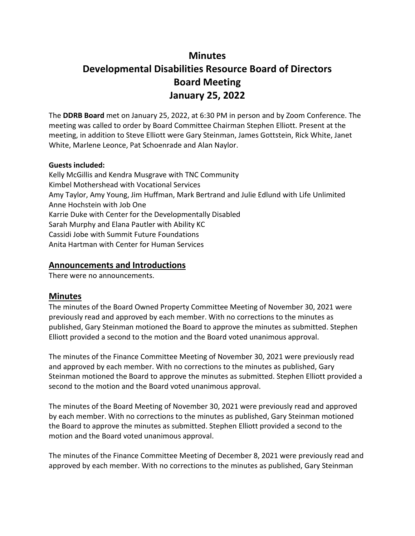# **Minutes Developmental Disabilities Resource Board of Directors Board Meeting January 25, 2022**

The **DDRB Board** met on January 25, 2022, at 6:30 PM in person and by Zoom Conference. The meeting was called to order by Board Committee Chairman Stephen Elliott. Present at the meeting, in addition to Steve Elliott were Gary Steinman, James Gottstein, Rick White, Janet White, Marlene Leonce, Pat Schoenrade and Alan Naylor.

#### **Guests included:**

Kelly McGillis and Kendra Musgrave with TNC Community Kimbel Mothershead with Vocational Services Amy Taylor, Amy Young, Jim Huffman, Mark Bertrand and Julie Edlund with Life Unlimited Anne Hochstein with Job One Karrie Duke with Center for the Developmentally Disabled Sarah Murphy and Elana Pautler with Ability KC Cassidi Jobe with Summit Future Foundations Anita Hartman with Center for Human Services

# **Announcements and Introductions**

There were no announcements.

#### **Minutes**

The minutes of the Board Owned Property Committee Meeting of November 30, 2021 were previously read and approved by each member. With no corrections to the minutes as published, Gary Steinman motioned the Board to approve the minutes as submitted. Stephen Elliott provided a second to the motion and the Board voted unanimous approval.

The minutes of the Finance Committee Meeting of November 30, 2021 were previously read and approved by each member. With no corrections to the minutes as published, Gary Steinman motioned the Board to approve the minutes as submitted. Stephen Elliott provided a second to the motion and the Board voted unanimous approval.

The minutes of the Board Meeting of November 30, 2021 were previously read and approved by each member. With no corrections to the minutes as published, Gary Steinman motioned the Board to approve the minutes as submitted. Stephen Elliott provided a second to the motion and the Board voted unanimous approval.

The minutes of the Finance Committee Meeting of December 8, 2021 were previously read and approved by each member. With no corrections to the minutes as published, Gary Steinman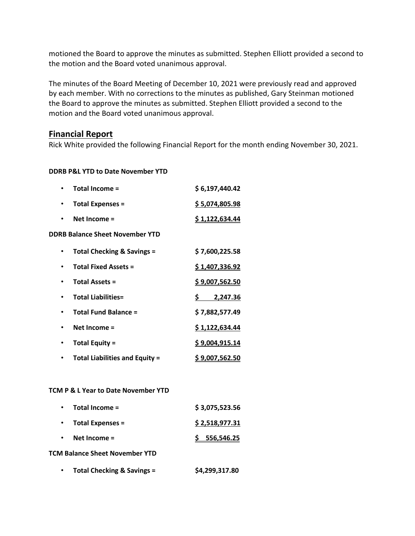motioned the Board to approve the minutes as submitted. Stephen Elliott provided a second to the motion and the Board voted unanimous approval.

The minutes of the Board Meeting of December 10, 2021 were previously read and approved by each member. With no corrections to the minutes as published, Gary Steinman motioned the Board to approve the minutes as submitted. Stephen Elliott provided a second to the motion and the Board voted unanimous approval.

#### **Financial Report**

Rick White provided the following Financial Report for the month ending November 30, 2021.

#### **DDRB P&L YTD to Date November YTD**

|                                        | Total Income =                        | \$6,197,440.42         |  |  |
|----------------------------------------|---------------------------------------|------------------------|--|--|
| ٠                                      | <b>Total Expenses =</b>               | \$5,074,805.98         |  |  |
|                                        | Net Income $=$                        | <u>\$1,122,634.44</u>  |  |  |
| <b>DDRB Balance Sheet November YTD</b> |                                       |                        |  |  |
|                                        | Total Checking & Savings =            | \$7,600,225.58         |  |  |
|                                        | <b>Total Fixed Assets =</b>           | \$1,407,336.92         |  |  |
|                                        | <b>Total Assets =</b>                 | \$9,007,562.50         |  |  |
|                                        | <b>Total Liabilities=</b>             | \$.<br>2,247.36        |  |  |
|                                        | <b>Total Fund Balance =</b>           | \$7,882,577.49         |  |  |
|                                        | Net Income $=$                        | \$1,122,634.44         |  |  |
|                                        | <b>Total Equity =</b>                 | \$9,004,915.14         |  |  |
|                                        | <b>Total Liabilities and Equity =</b> | <u>\$ 9,007,562.50</u> |  |  |

#### **TCM P & L Year to Date November YTD**

| Total Income =<br>$\bullet$           | \$3,075,523.56 |  |  |  |
|---------------------------------------|----------------|--|--|--|
| <b>Total Expenses =</b>               | \$2,518,977.31 |  |  |  |
| Net Income $=$<br>$\bullet$           | 5 556,546.25   |  |  |  |
| <b>TCM Balance Sheet November YTD</b> |                |  |  |  |

# • **Total Checking & Savings = \$4,299,317.80**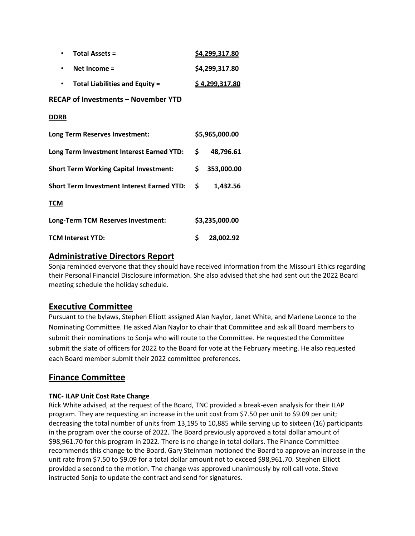| <b>Total Assets =</b>                             |    | \$4,299,317.80 |  |  |  |
|---------------------------------------------------|----|----------------|--|--|--|
| Net Income =                                      |    | \$4,299,317.80 |  |  |  |
| <b>Total Liabilities and Equity =</b>             |    | \$4,299,317.80 |  |  |  |
| <b>RECAP of Investments - November YTD</b>        |    |                |  |  |  |
| <b>DDRB</b>                                       |    |                |  |  |  |
| Long Term Reserves Investment:                    |    | \$5,965,000.00 |  |  |  |
| Long Term Investment Interest Earned YTD:         | \$ | 48,796.61      |  |  |  |
| <b>Short Term Working Capital Investment:</b>     |    | 353,000.00     |  |  |  |
| <b>Short Term Investment Interest Earned YTD:</b> |    | 1,432.56       |  |  |  |
| TCM                                               |    |                |  |  |  |
| Long-Term TCM Reserves Investment:                |    | \$3,235,000.00 |  |  |  |
| TCM Interest YTD:                                 | \$ | 28,002.92      |  |  |  |

### **Administrative Directors Report**

Sonja reminded everyone that they should have received information from the Missouri Ethics regarding their Personal Financial Disclosure information. She also advised that she had sent out the 2022 Board meeting schedule the holiday schedule.

# **Executive Committee**

Pursuant to the bylaws, Stephen Elliott assigned Alan Naylor, Janet White, and Marlene Leonce to the Nominating Committee. He asked Alan Naylor to chair that Committee and ask all Board members to submit their nominations to Sonja who will route to the Committee. He requested the Committee submit the slate of officers for 2022 to the Board for vote at the February meeting. He also requested each Board member submit their 2022 committee preferences.

# **Finance Committee**

#### **TNC- ILAP Unit Cost Rate Change**

Rick White advised, at the request of the Board, TNC provided a break-even analysis for their ILAP program. They are requesting an increase in the unit cost from \$7.50 per unit to \$9.09 per unit; decreasing the total number of units from 13,195 to 10,885 while serving up to sixteen (16) participants in the program over the course of 2022. The Board previously approved a total dollar amount of \$98,961.70 for this program in 2022. There is no change in total dollars. The Finance Committee recommends this change to the Board. Gary Steinman motioned the Board to approve an increase in the unit rate from \$7.50 to \$9.09 for a total dollar amount not to exceed \$98,961.70. Stephen Elliott provided a second to the motion. The change was approved unanimously by roll call vote. Steve instructed Sonja to update the contract and send for signatures.